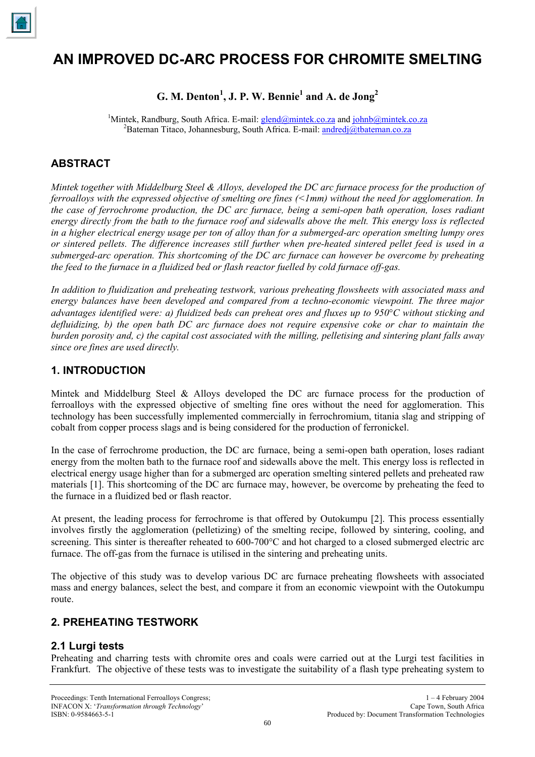

# **AN IMPROVED DC-ARC PROCESS FOR CHROMITE SMELTING**

# $G.$  M. Denton<sup>1</sup>, J. P. W. Bennie<sup>1</sup> and A. de Jong<sup>2</sup>

<sup>1</sup>Mintek, Randburg, South Africa. E-mail:  $glend@mintek.co.za$  and  $Johnb@mintek.co.za$ <br><sup>2</sup>Determen Titese, Johannesburg, South Africa. E-mail: androdi@thetermen.co.za</u></u> <sup>2</sup>Bateman Titaco, Johannesburg, South Africa. E-mail: andredj@tbateman.co.za

# **ABSTRACT**

*Mintek together with Middelburg Steel & Alloys, developed the DC arc furnace process for the production of ferroalloys with the expressed objective of smelting ore fines (<1mm) without the need for agglomeration. In the case of ferrochrome production, the DC arc furnace, being a semi-open bath operation, loses radiant energy directly from the bath to the furnace roof and sidewalls above the melt. This energy loss is reflected in a higher electrical energy usage per ton of alloy than for a submerged-arc operation smelting lumpy ores or sintered pellets. The difference increases still further when pre-heated sintered pellet feed is used in a submerged-arc operation. This shortcoming of the DC arc furnace can however be overcome by preheating the feed to the furnace in a fluidized bed or flash reactor fuelled by cold furnace off-gas.* 

*In addition to fluidization and preheating testwork, various preheating flowsheets with associated mass and energy balances have been developed and compared from a techno-economic viewpoint. The three major advantages identified were: a) fluidized beds can preheat ores and fluxes up to 950*°*C without sticking and defluidizing, b) the open bath DC arc furnace does not require expensive coke or char to maintain the burden porosity and, c) the capital cost associated with the milling, pelletising and sintering plant falls away since ore fines are used directly.*

# **1. INTRODUCTION**

Mintek and Middelburg Steel & Alloys developed the DC arc furnace process for the production of ferroalloys with the expressed objective of smelting fine ores without the need for agglomeration. This technology has been successfully implemented commercially in ferrochromium, titania slag and stripping of cobalt from copper process slags and is being considered for the production of ferronickel.

In the case of ferrochrome production, the DC arc furnace, being a semi-open bath operation, loses radiant energy from the molten bath to the furnace roof and sidewalls above the melt. This energy loss is reflected in electrical energy usage higher than for a submerged arc operation smelting sintered pellets and preheated raw materials [1]. This shortcoming of the DC arc furnace may, however, be overcome by preheating the feed to the furnace in a fluidized bed or flash reactor.

At present, the leading process for ferrochrome is that offered by Outokumpu [2]. This process essentially involves firstly the agglomeration (pelletizing) of the smelting recipe, followed by sintering, cooling, and screening. This sinter is thereafter reheated to 600-700 °C and hot charged to a closed submerged electric arc furnace. The off-gas from the furnace is utilised in the sintering and preheating units.

The objective of this study was to develop various DC arc furnace preheating flowsheets with associated mass and energy balances, select the best, and compare it from an economic viewpoint with the Outokumpu route.

# **2. PREHEATING TESTWORK**

# **2.1 Lurgi tests**

Preheating and charring tests with chromite ores and coals were carried out at the Lurgi test facilities in Frankfurt. The objective of these tests was to investigate the suitability of a flash type preheating system to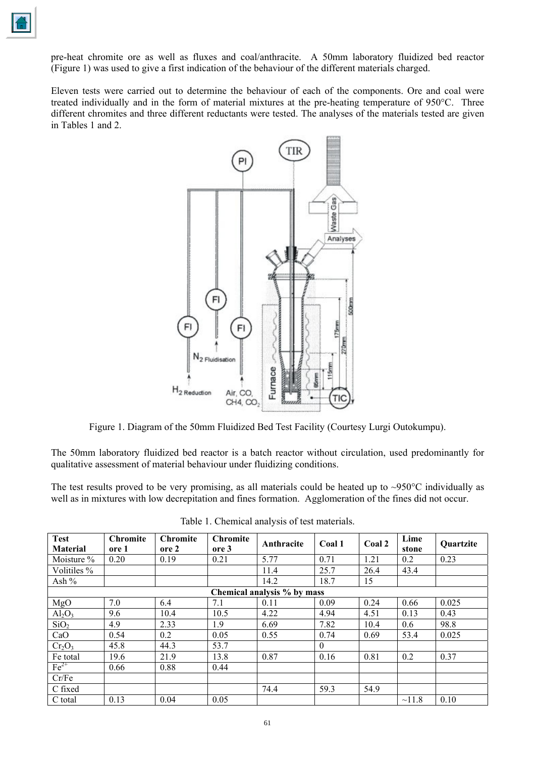pre-heat chromite ore as well as fluxes and coal/anthracite. A 50mm laboratory fluidized bed reactor (Figure 1) was used to give a first indication of the behaviour of the different materials charged.

Eleven tests were carried out to determine the behaviour of each of the components. Ore and coal were treated individually and in the form of material mixtures at the pre-heating temperature of 950°C. Three different chromites and three different reductants were tested. The analyses of the materials tested are given in Tables 1 and 2.



Figure 1. Diagram of the 50mm Fluidized Bed Test Facility (Courtesy Lurgi Outokumpu).

The 50mm laboratory fluidized bed reactor is a batch reactor without circulation, used predominantly for qualitative assessment of material behaviour under fluidizing conditions.

The test results proved to be very promising, as all materials could be heated up to  $\sim$ 950°C individually as well as in mixtures with low decrepitation and fines formation. Agglomeration of the fines did not occur.

| <b>Test</b><br><b>Material</b> | <b>Chromite</b><br>ore 1 | <b>Chromite</b><br>ore 2 | <b>Chromite</b><br>ore 3 | Anthracite | Coal 1   | Coal 2 | Lime<br>stone | Quartzite |
|--------------------------------|--------------------------|--------------------------|--------------------------|------------|----------|--------|---------------|-----------|
| Moisture %                     | 0.20                     | 0.19                     | 0.21                     | 5.77       | 0.71     | 1.21   | 0.2           | 0.23      |
| Volitiles %                    |                          |                          |                          | 11.4       | 25.7     | 26.4   | 43.4          |           |
| Ash %                          |                          |                          |                          | 14.2       | 18.7     | 15     |               |           |
| Chemical analysis % by mass    |                          |                          |                          |            |          |        |               |           |
| MgO                            | 7.0                      | 6.4                      | 7.1                      | 0.11       | 0.09     | 0.24   | 0.66          | 0.025     |
| Al <sub>2</sub> O <sub>3</sub> | 9.6                      | 10.4                     | 10.5                     | 4.22       | 4.94     | 4.51   | 0.13          | 0.43      |
| SiO <sub>2</sub>               | 4.9                      | 2.33                     | 1.9                      | 6.69       | 7.82     | 10.4   | 0.6           | 98.8      |
| CaO                            | 0.54                     | 0.2                      | 0.05                     | 0.55       | 0.74     | 0.69   | 53.4          | 0.025     |
| $Cr_2O_3$                      | 45.8                     | 44.3                     | 53.7                     |            | $\theta$ |        |               |           |
| Fe total                       | 19.6                     | 21.9                     | 13.8                     | 0.87       | 0.16     | 0.81   | 0.2           | 0.37      |
| $Fe2+$                         | 0.66                     | 0.88                     | 0.44                     |            |          |        |               |           |
| Cr/Fe                          |                          |                          |                          |            |          |        |               |           |
| C fixed                        |                          |                          |                          | 74.4       | 59.3     | 54.9   |               |           |
| C total                        | 0.13                     | 0.04                     | 0.05                     |            |          |        | ~11.8         | 0.10      |

Table 1. Chemical analysis of test materials.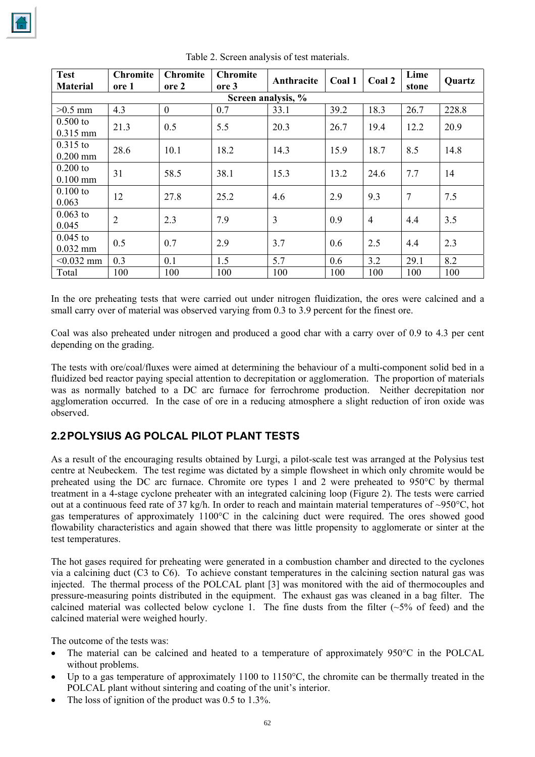| <b>Test</b><br><b>Material</b> | <b>Chromite</b><br>ore 1 | <b>Chromite</b><br>ore 2 | <b>Chromite</b><br>ore 3 | Anthracite | Coal 1 | Coal 2         | Lime<br>stone   | <b>Quartz</b> |
|--------------------------------|--------------------------|--------------------------|--------------------------|------------|--------|----------------|-----------------|---------------|
| Screen analysis, %             |                          |                          |                          |            |        |                |                 |               |
| $>0.5$ mm                      | 4.3                      | $\overline{0}$           | 0.7                      | 33.1       | 39.2   | 18.3           | 26.7            | 228.8         |
| $0.500$ to<br>$0.315$ mm       | 21.3                     | 0.5                      | 5.5                      | 20.3       | 26.7   | 19.4           | 12.2            | 20.9          |
| $0.315$ to<br>$0.200$ mm       | 28.6                     | 10.1                     | 18.2                     | 14.3       | 15.9   | 18.7           | 8.5             | 14.8          |
| $0.200$ to<br>$0.100$ mm       | 31                       | 58.5                     | 38.1                     | 15.3       | 13.2   | 24.6           | 7.7             | 14            |
| $0.100$ to<br>0.063            | 12                       | 27.8                     | 25.2                     | 4.6        | 2.9    | 9.3            | $7\phantom{.0}$ | 7.5           |
| $0.063$ to<br>0.045            | $\overline{2}$           | 2.3                      | 7.9                      | 3          | 0.9    | $\overline{4}$ | 4.4             | 3.5           |
| $0.045$ to<br>$0.032$ mm       | 0.5                      | 0.7                      | 2.9                      | 3.7        | 0.6    | 2.5            | 4.4             | 2.3           |
| $< 0.032$ mm                   | 0.3                      | 0.1                      | 1.5                      | 5.7        | 0.6    | 3.2            | 29.1            | 8.2           |
| Total                          | 100                      | 100                      | 100                      | 100        | 100    | 100            | 100             | 100           |

Table 2. Screen analysis of test materials.

In the ore preheating tests that were carried out under nitrogen fluidization, the ores were calcined and a small carry over of material was observed varying from 0.3 to 3.9 percent for the finest ore.

Coal was also preheated under nitrogen and produced a good char with a carry over of 0.9 to 4.3 per cent depending on the grading.

The tests with ore/coal/fluxes were aimed at determining the behaviour of a multi-component solid bed in a fluidized bed reactor paying special attention to decrepitation or agglomeration. The proportion of materials was as normally batched to a DC arc furnace for ferrochrome production. Neither decrepitation nor agglomeration occurred. In the case of ore in a reducing atmosphere a slight reduction of iron oxide was observed.

# **2.2 POLYSIUS AG POLCAL PILOT PLANT TESTS**

As a result of the encouraging results obtained by Lurgi, a pilot-scale test was arranged at the Polysius test centre at Neubeckem. The test regime was dictated by a simple flowsheet in which only chromite would be preheated using the DC arc furnace. Chromite ore types 1 and 2 were preheated to 950°C by thermal treatment in a 4-stage cyclone preheater with an integrated calcining loop (Figure 2). The tests were carried out at a continuous feed rate of 37 kg/h. In order to reach and maintain material temperatures of ~950°C, hot gas temperatures of approximately 1100°C in the calcining duct were required. The ores showed good flowability characteristics and again showed that there was little propensity to agglomerate or sinter at the test temperatures.

The hot gases required for preheating were generated in a combustion chamber and directed to the cyclones via a calcining duct (C3 to C6). To achieve constant temperatures in the calcining section natural gas was injected. The thermal process of the POLCAL plant [3] was monitored with the aid of thermocouples and pressure-measuring points distributed in the equipment. The exhaust gas was cleaned in a bag filter. The calcined material was collected below cyclone 1. The fine dusts from the filter  $(-5\%$  of feed) and the calcined material were weighed hourly.

The outcome of the tests was:

- The material can be calcined and heated to a temperature of approximately 950°C in the POLCAL without problems.
- Up to a gas temperature of approximately 1100 to 1150°C, the chromite can be thermally treated in the POLCAL plant without sintering and coating of the unit's interior.
- The loss of ignition of the product was  $0.5$  to  $1.3\%$ .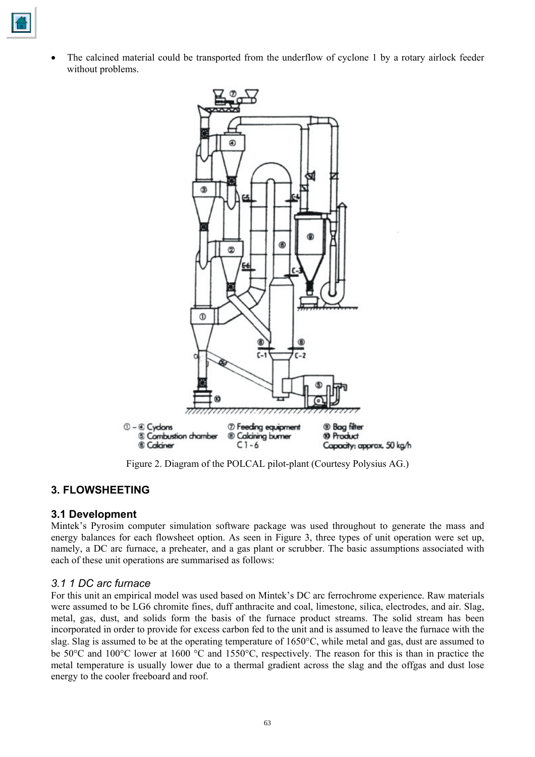

• The calcined material could be transported from the underflow of cyclone 1 by a rotary airlock feeder without problems.



Figure 2. Diagram of the POLCAL pilot-plant (Courtesy Polysius AG.)

# **3. FLOWSHEETING**

# **3.1 Development**

Mintek's Pyrosim computer simulation software package was used throughout to generate the mass and energy balances for each flowsheet option. As seen in Figure 3, three types of unit operation were set up, namely, a DC arc furnace, a preheater, and a gas plant or scrubber. The basic assumptions associated with each of these unit operations are summarised as follows:

#### *3.1 1 DC arc furnace*

For this unit an empirical model was used based on Mintek's DC arc ferrochrome experience. Raw materials were assumed to be LG6 chromite fines, duff anthracite and coal, limestone, silica, electrodes, and air. Slag, metal, gas, dust, and solids form the basis of the furnace product streams. The solid stream has been incorporated in order to provide for excess carbon fed to the unit and is assumed to leave the furnace with the slag. Slag is assumed to be at the operating temperature of 1650°C, while metal and gas, dust are assumed to be 50°C and 100°C lower at 1600 °C and 1550°C, respectively. The reason for this is than in practice the metal temperature is usually lower due to a thermal gradient across the slag and the offgas and dust lose energy to the cooler freeboard and roof.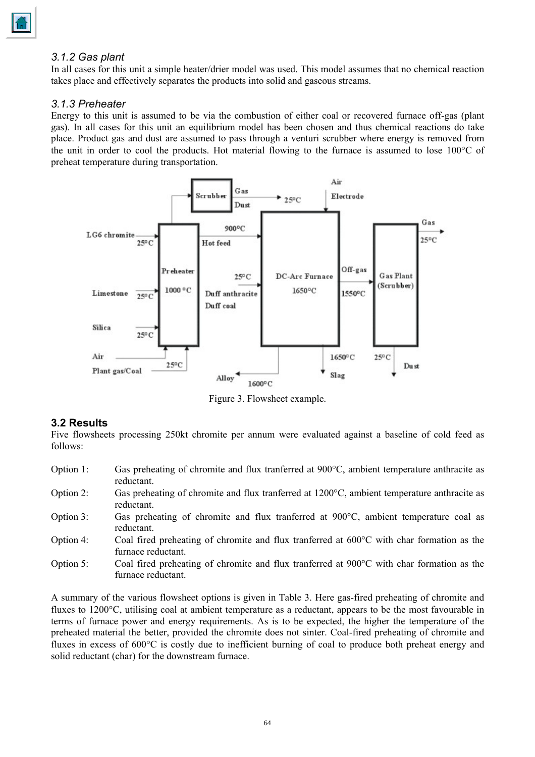#### *3.1.2 Gas plant*

In all cases for this unit a simple heater/drier model was used. This model assumes that no chemical reaction takes place and effectively separates the products into solid and gaseous streams.

#### *3.1.3 Preheater*

Energy to this unit is assumed to be via the combustion of either coal or recovered furnace off-gas (plant gas). In all cases for this unit an equilibrium model has been chosen and thus chemical reactions do take place. Product gas and dust are assumed to pass through a venturi scrubber where energy is removed from the unit in order to cool the products. Hot material flowing to the furnace is assumed to lose 100°C of preheat temperature during transportation.



Figure 3. Flowsheet example.

# **3.2 Results**

Five flowsheets processing 250kt chromite per annum were evaluated against a baseline of cold feed as follows:

- Option 1: Gas preheating of chromite and flux tranferred at 900°C, ambient temperature anthracite as reductant.
- Option 2: Gas preheating of chromite and flux tranferred at 1200°C, ambient temperature anthracite as reductant.
- Option 3: Gas preheating of chromite and flux tranferred at 900°C, ambient temperature coal as reductant.
- Option 4: Coal fired preheating of chromite and flux tranferred at 600°C with char formation as the furnace reductant.
- Option 5: Coal fired preheating of chromite and flux tranferred at 900°C with char formation as the furnace reductant.

A summary of the various flowsheet options is given in Table 3. Here gas-fired preheating of chromite and fluxes to 1200°C, utilising coal at ambient temperature as a reductant, appears to be the most favourable in terms of furnace power and energy requirements. As is to be expected, the higher the temperature of the preheated material the better, provided the chromite does not sinter. Coal-fired preheating of chromite and fluxes in excess of 600°C is costly due to inefficient burning of coal to produce both preheat energy and solid reductant (char) for the downstream furnace.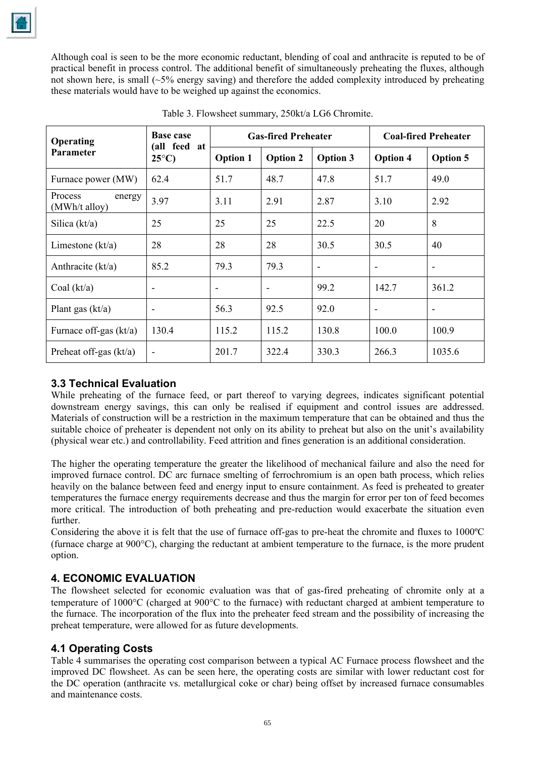Although coal is seen to be the more economic reductant, blending of coal and anthracite is reputed to be of practical benefit in process control. The additional benefit of simultaneously preheating the fluxes, although not shown here, is small  $(-5\%$  energy saving) and therefore the added complexity introduced by preheating these materials would have to be weighed up against the economics.

| Operating                          | <b>Base case</b><br>(all feed at<br>$25^{\circ}$ C) | <b>Gas-fired Preheater</b> |                          |                              | <b>Coal-fired Preheater</b> |                          |  |
|------------------------------------|-----------------------------------------------------|----------------------------|--------------------------|------------------------------|-----------------------------|--------------------------|--|
| <b>Parameter</b>                   |                                                     | <b>Option 1</b>            | <b>Option 2</b>          | <b>Option 3</b>              | <b>Option 4</b>             | <b>Option 5</b>          |  |
| Furnace power (MW)                 | 62.4                                                | 51.7                       | 48.7                     | 47.8                         | 51.7                        | 49.0                     |  |
| Process<br>energy<br>(MWh/t alloy) | 3.97                                                | 3.11                       | 2.91                     | 2.87                         | 3.10                        | 2.92                     |  |
| Silica $(kt/a)$                    | 25                                                  | 25                         | 25                       | 22.5                         | 20                          | 8                        |  |
| Limestone $(kt/a)$                 | 28                                                  | 28                         | 28                       | 30.5                         | 30.5                        | 40                       |  |
| Anthracite $(kt/a)$                | 85.2                                                | 79.3                       | 79.3                     | $\qquad \qquad \blacksquare$ | ۰                           | $\overline{\phantom{a}}$ |  |
| Coal $(kt/a)$                      | ۰                                                   | $\overline{\phantom{a}}$   | $\overline{\phantom{a}}$ | 99.2                         | 142.7                       | 361.2                    |  |
| Plant gas $(kt/a)$                 | ۰                                                   | 56.3                       | 92.5                     | 92.0                         | ۰                           |                          |  |
| Furnace off-gas $(kt/a)$           | 130.4                                               | 115.2                      | 115.2                    | 130.8                        | 100.0                       | 100.9                    |  |
| Preheat off-gas $(kt/a)$           | $\overline{\phantom{a}}$                            | 201.7                      | 322.4                    | 330.3                        | 266.3                       | 1035.6                   |  |

Table 3. Flowsheet summary, 250kt/a LG6 Chromite.

# **3.3 Technical Evaluation**

While preheating of the furnace feed, or part thereof to varying degrees, indicates significant potential downstream energy savings, this can only be realised if equipment and control issues are addressed. Materials of construction will be a restriction in the maximum temperature that can be obtained and thus the suitable choice of preheater is dependent not only on its ability to preheat but also on the unit's availability (physical wear etc.) and controllability. Feed attrition and fines generation is an additional consideration.

The higher the operating temperature the greater the likelihood of mechanical failure and also the need for improved furnace control. DC arc furnace smelting of ferrochromium is an open bath process, which relies heavily on the balance between feed and energy input to ensure containment. As feed is preheated to greater temperatures the furnace energy requirements decrease and thus the margin for error per ton of feed becomes more critical. The introduction of both preheating and pre-reduction would exacerbate the situation even further.

Considering the above it is felt that the use of furnace off-gas to pre-heat the chromite and fluxes to 1000ºC (furnace charge at 900°C), charging the reductant at ambient temperature to the furnace, is the more prudent option.

# **4. ECONOMIC EVALUATION**

The flowsheet selected for economic evaluation was that of gas-fired preheating of chromite only at a temperature of 1000°C (charged at 900°C to the furnace) with reductant charged at ambient temperature to the furnace. The incorporation of the flux into the preheater feed stream and the possibility of increasing the preheat temperature, were allowed for as future developments.

# **4.1 Operating Costs**

Table 4 summarises the operating cost comparison between a typical AC Furnace process flowsheet and the improved DC flowsheet. As can be seen here, the operating costs are similar with lower reductant cost for the DC operation (anthracite vs. metallurgical coke or char) being offset by increased furnace consumables and maintenance costs.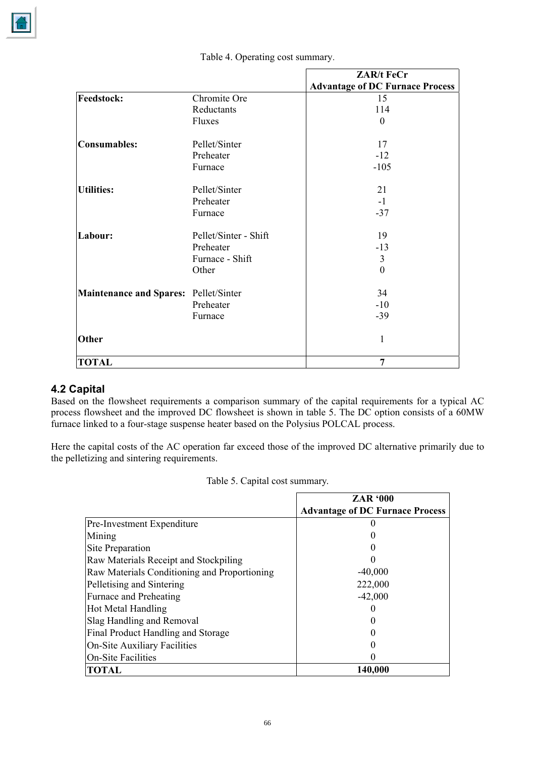

|                                       |                       | <b>ZAR/t FeCr</b>                      |
|---------------------------------------|-----------------------|----------------------------------------|
|                                       |                       | <b>Advantage of DC Furnace Process</b> |
| <b>Feedstock:</b>                     | Chromite Ore          | 15                                     |
|                                       | Reductants            | 114                                    |
|                                       | Fluxes                | $\theta$                               |
| <b>Consumables:</b>                   | Pellet/Sinter         | 17                                     |
|                                       | Preheater             | $-12$                                  |
|                                       | Furnace               | $-105$                                 |
| Utilities:                            | Pellet/Sinter         | 21                                     |
|                                       | Preheater             | $-1$                                   |
|                                       | Furnace               | $-37$                                  |
| Labour:                               | Pellet/Sinter - Shift | 19                                     |
|                                       | Preheater             | $-13$                                  |
|                                       | Furnace - Shift       | 3                                      |
|                                       | Other                 | $\theta$                               |
| Maintenance and Spares: Pellet/Sinter |                       | 34                                     |
|                                       | Preheater             | $-10$                                  |
|                                       | Furnace               | $-39$                                  |
| Other                                 |                       | 1                                      |
| <b>TOTAL</b>                          |                       | 7                                      |

Table 4. Operating cost summary.

# **4.2 Capital**

Based on the flowsheet requirements a comparison summary of the capital requirements for a typical AC process flowsheet and the improved DC flowsheet is shown in table 5. The DC option consists of a 60MW furnace linked to a four-stage suspense heater based on the Polysius POLCAL process.

Here the capital costs of the AC operation far exceed those of the improved DC alternative primarily due to the pelletizing and sintering requirements.

| Table 5. Capital cost summary. |  |
|--------------------------------|--|
|--------------------------------|--|

|                                              | <b>ZAR '000</b>                        |
|----------------------------------------------|----------------------------------------|
|                                              | <b>Advantage of DC Furnace Process</b> |
| Pre-Investment Expenditure                   |                                        |
| Mining                                       |                                        |
| Site Preparation                             |                                        |
| Raw Materials Receipt and Stockpiling        |                                        |
| Raw Materials Conditioning and Proportioning | $-40,000$                              |
| Pelletising and Sintering                    | 222,000                                |
| <b>Furnace and Preheating</b>                | $-42,000$                              |
| <b>Hot Metal Handling</b>                    |                                        |
| Slag Handling and Removal                    |                                        |
| Final Product Handling and Storage           |                                        |
| <b>On-Site Auxiliary Facilities</b>          |                                        |
| <b>On-Site Facilities</b>                    |                                        |
| <b>TOTAL</b>                                 | 140,000                                |